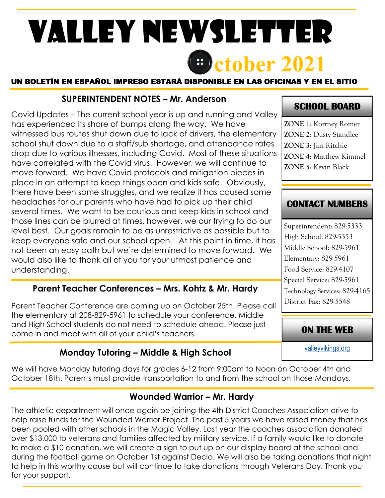# **ctober 2021** Valley Newsletter

#### UN BOLETÍN EN ESPAÑOL IMPRESO ESTARÁ DISPONIBLE EN LAS OFICINAS Y EN EL SITIO

#### **SUPERINTENDENT NOTES – Mr. Anderson**

Covid Updates – The current school year is up and running and Valley has experienced its share of bumps along the way. We have witnessed bus routes shut down due to lack of drivers, the elementary school shut down due to a staff/sub shortage, and attendance rates drop due to various illnesses, including Covid. Most of these situations have correlated with the Covid virus. However, we will continue to move forward. We have Covid protocols and mitigation pieces in place in an attempt to keep things open and kids safe. Obviously, there have been some struggles, and we realize it has caused some headaches for our parents who have had to pick up their child several times. We want to be cautious and keep kids in school and those lines can be blurred at times, however, we our trying to do our level best. Our goals remain to be as unrestrictive as possible but to keep everyone safe and our school open. At this point in time, it has not been an easy path but we're determined to move forward. We would also like to thank all of you for your utmost patience and understanding.

#### **Parent Teacher Conferences – Mrs. Kohtz & Mr. Hardy**

Parent Teacher Conference are coming up on October 25th. Please call the elementary at 208-829-5961 to schedule your conference. Middle and High School students do not need to schedule ahead. Please just come in and meet with all of your child's teachers.

## **Monday Tutoring – Middle & High School**

We will have Monday tutoring days for grades 6-12 from 9:00am to Noon on October 4th and October 18th. Parents must provide transportation to and from the school on those Mondays.

## **Wounded Warrior - Mr. Hardy**

The athletic department will once again be joining the 4th District Coaches Association drive to help raise funds for the Wounded Warrior Project. The past 5 years we have raised money that has been pooled with other schools in the Magic Valley. Last year the coaches association donated over \$13,000 to veterans and families affected by military service. If a family would like to donate to make a \$10 donation, we will create a sign to put up on our display board at the school and during the football game on October 1st against Declo. We will also be taking donations that night to help in this worthy cause but will continue to take donations through Veterans Day. Thank you for your support.

## **SCHOOL BOARD**

**ZONE 1**: Kortney Romer **ZONE 2**: Dusty Standlee **ZONE 3**: Jim Ritchie **ZONE 4**: Matthew Kimmel **ZONE 5**: Kevin Black

## **CONTACT NUMBERS**

Superintendent: 829-5333 High School: 829-5353 Middle School: 829-5961 Elementary: 829-5961 Food Service: 829-4107 Special Service: 829-5961 Technology Services: 829-4165 District Fax: 829-5548

#### **ON THE WEB**

[valleyvikings.org](http://www.valleyvikings.org/)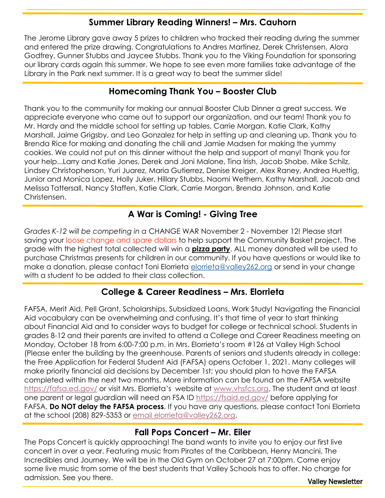#### **Summer Library Reading Winners! – Mrs. Cauhorn**

The Jerome Library gave away 5 prizes to children who tracked their reading during the summer and entered the prize drawing. Congratulations to Andres Martinez, Derek Christensen, Alora Godfrey, Gunner Stubbs and Jaycee Stubbs. Thank you to the Viking Foundation for sponsoring our library cards again this summer. We hope to see even more families take advantage of the Library in the Park next summer. It is a great way to beat the summer slide!

#### **Homecoming Thank You – Booster Club**

Thank you to the community for making our annual Booster Club Dinner a great success. We appreciate everyone who came out to support our organization, and our team! Thank you to Mr. Hardy and the middle school for setting up tables, Carrie Morgan, Katie Clark, Kathy Marshall, Jaime Grigsby, and Leo Gonzalez for help in setting up and cleaning up. Thank you to Brenda Rice for making and donating the chili and Jamie Madsen for making the yummy cookies. We could not put on this dinner without the help and support of many! Thank you for your help...Larry and Katie Jones, Derek and Joni Malone, Tina Irish, Jacob Shobe, Mike Schilz, Lindsey Christopherson, Yuri Juarez, Maria Gutierrez, Denise Kreiger, Alex Raney, Andrea Huettig, Junior and Monica Lopez, Holly Juker, Hillary Stubbs, Naomi Wethern, Kathy Marshall, Jacob and Melissa Tattersall, Nancy Staffen, Katie Clark, Carrie Morgan, Brenda Johnson, and Katie Christensen.

## **A War is Coming! - Giving Tree**

*Grades K-12 will be competing in a* CHANGE WAR November 2 - November 12! Please start saving your loose change and spare dollars to help support the Community Basket project. The grade with the highest total collected will win a **pizza party**. ALL money donated will be used to purchase Christmas presents for children in our community. If you have questions or would like to make a donation, please contact Toni Elorrieta [elorrieta@valley262.org](mailto:elorrieta@valley262.org) or send in your change with a student to be added to their class collection.

## **College & Career Readiness – Mrs. Elorrieta**

FAFSA, Merit Aid, Pell Grant, Scholarships, Subsidized Loans, Work Study! Navigating the Financial Aid vocabulary can be overwhelming and confusing. It's that time of year to start thinking about Financial Aid and to consider ways to budget for college or technical school. Students in grades 8-12 and their parents are invited to attend a College and Career Readiness meeting on Monday, October 18 from 6:00-7:00 p.m. in Mrs. Elorrieta's room #126 at Valley High School (Please enter the building by the greenhouse. Parents of seniors and students already in college: the Free Application for Federal Student Aid (FAFSA) opens October 1, 2021. Many colleges will make priority financial aid decisions by December 1st; you should plan to have the FAFSA completed within the next two months. More information can be found on the FAFSA website <https://fafsa.ed.gov/> or visit Mrs. Elorrieta's website at [www.vhsfcs.org.](http://www.vhsfcs.org/) The student and at least one parent or legal guardian will need an FSA ID <https://fsaid.ed.gov/> before applying for FAFSA. **Do NOT delay the FAFSA process**. If you have any questions, please contact Toni Elorrieta at the school (208) 829-5353 or [email elorrieta@valley262.org.](mailto:elorrieta@valley262.org)

## **Fall Pops Concert – Mr. Eiler**

Valley Newsletter The Pops Concert is quickly approaching! The band wants to invite you to enjoy our first live concert in over a year. Featuring music from Pirates of the Caribbean, Henry Mancini, The Incredibles and Journey. We will be in the Old Gym on October 27 at 7:00pm. Come enjoy some live music from some of the best students that Valley Schools has to offer. No charge for admission. See you there.